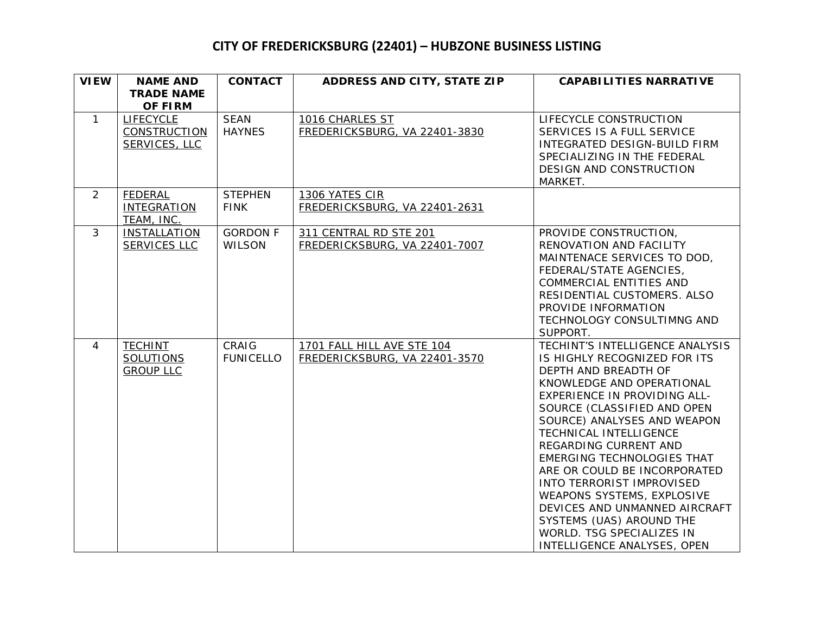| <b>VIEW</b>  | <b>NAME AND</b>                                          | <b>CONTACT</b>                   | ADDRESS AND CITY, STATE ZIP                                 | <b>CAPABILITIES NARRATIVE</b>                                                                                                                                                                                                                                                                                                                                                                                                                                                                                                         |
|--------------|----------------------------------------------------------|----------------------------------|-------------------------------------------------------------|---------------------------------------------------------------------------------------------------------------------------------------------------------------------------------------------------------------------------------------------------------------------------------------------------------------------------------------------------------------------------------------------------------------------------------------------------------------------------------------------------------------------------------------|
|              | <b>TRADE NAME</b><br><b>OF FIRM</b>                      |                                  |                                                             |                                                                                                                                                                                                                                                                                                                                                                                                                                                                                                                                       |
| $\mathbf{1}$ | <b>LIFECYCLE</b><br><b>CONSTRUCTION</b><br>SERVICES, LLC | <b>SEAN</b><br><b>HAYNES</b>     | 1016 CHARLES ST<br>FREDERICKSBURG, VA 22401-3830            | LIFECYCLE CONSTRUCTION<br>SERVICES IS A FULL SERVICE<br>INTEGRATED DESIGN-BUILD FIRM<br>SPECIALIZING IN THE FEDERAL<br>DESIGN AND CONSTRUCTION<br>MARKET.                                                                                                                                                                                                                                                                                                                                                                             |
| 2            | <b>FEDERAL</b><br><b>INTEGRATION</b><br>TEAM, INC.       | <b>STEPHEN</b><br><b>FINK</b>    | 1306 YATES CIR<br>FREDERICKSBURG, VA 22401-2631             |                                                                                                                                                                                                                                                                                                                                                                                                                                                                                                                                       |
| $\mathbf{3}$ | <b>INSTALLATION</b><br>SERVICES LLC                      | <b>GORDON F</b><br><b>WILSON</b> | 311 CENTRAL RD STE 201<br>FREDERICKSBURG, VA 22401-7007     | PROVIDE CONSTRUCTION,<br>RENOVATION AND FACILITY<br>MAINTENACE SERVICES TO DOD,<br>FEDERAL/STATE AGENCIES,<br>COMMERCIAL ENTITIES AND<br>RESIDENTIAL CUSTOMERS. ALSO<br>PROVIDE INFORMATION<br>TECHNOLOGY CONSULTIMNG AND<br>SUPPORT.                                                                                                                                                                                                                                                                                                 |
| 4            | <b>TECHINT</b><br><b>SOLUTIONS</b><br><b>GROUP LLC</b>   | CRAIG<br><b>FUNICELLO</b>        | 1701 FALL HILL AVE STE 104<br>FREDERICKSBURG, VA 22401-3570 | TECHINT'S INTELLIGENCE ANALYSIS<br>IS HIGHLY RECOGNIZED FOR ITS<br>DEPTH AND BREADTH OF<br>KNOWLEDGE AND OPERATIONAL<br>EXPERIENCE IN PROVIDING ALL-<br>SOURCE (CLASSIFIED AND OPEN<br>SOURCE) ANALYSES AND WEAPON<br>TECHNICAL INTELLIGENCE<br>REGARDING CURRENT AND<br>EMERGING TECHNOLOGIES THAT<br>ARE OR COULD BE INCORPORATED<br><b>INTO TERRORIST IMPROVISED</b><br><b>WEAPONS SYSTEMS, EXPLOSIVE</b><br>DEVICES AND UNMANNED AIRCRAFT<br>SYSTEMS (UAS) AROUND THE<br>WORLD. TSG SPECIALIZES IN<br>INTELLIGENCE ANALYSES, OPEN |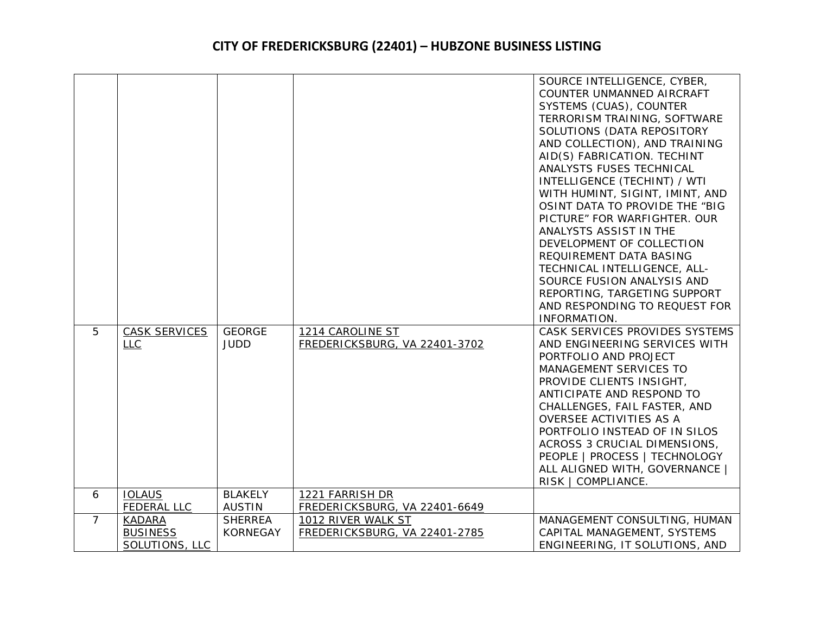|                |                      |                 |                               | SOURCE INTELLIGENCE, CYBER,     |
|----------------|----------------------|-----------------|-------------------------------|---------------------------------|
|                |                      |                 |                               | COUNTER UNMANNED AIRCRAFT       |
|                |                      |                 |                               | SYSTEMS (CUAS), COUNTER         |
|                |                      |                 |                               | TERRORISM TRAINING, SOFTWARE    |
|                |                      |                 |                               | SOLUTIONS (DATA REPOSITORY      |
|                |                      |                 |                               |                                 |
|                |                      |                 |                               | AND COLLECTION), AND TRAINING   |
|                |                      |                 |                               | AID(S) FABRICATION. TECHINT     |
|                |                      |                 |                               | ANALYSTS FUSES TECHNICAL        |
|                |                      |                 |                               | INTELLIGENCE (TECHINT) / WTI    |
|                |                      |                 |                               | WITH HUMINT, SIGINT, IMINT, AND |
|                |                      |                 |                               | OSINT DATA TO PROVIDE THE "BIG  |
|                |                      |                 |                               | PICTURE" FOR WARFIGHTER. OUR    |
|                |                      |                 |                               | ANALYSTS ASSIST IN THE          |
|                |                      |                 |                               | DEVELOPMENT OF COLLECTION       |
|                |                      |                 |                               | REQUIREMENT DATA BASING         |
|                |                      |                 |                               | TECHNICAL INTELLIGENCE, ALL-    |
|                |                      |                 |                               | SOURCE FUSION ANALYSIS AND      |
|                |                      |                 |                               | REPORTING, TARGETING SUPPORT    |
|                |                      |                 |                               | AND RESPONDING TO REQUEST FOR   |
|                |                      |                 |                               | INFORMATION.                    |
| 5              | <b>CASK SERVICES</b> | <b>GEORGE</b>   | 1214 CAROLINE ST              | CASK SERVICES PROVIDES SYSTEMS  |
|                | <b>LLC</b>           | <b>JUDD</b>     | FREDERICKSBURG, VA 22401-3702 | AND ENGINEERING SERVICES WITH   |
|                |                      |                 |                               | PORTFOLIO AND PROJECT           |
|                |                      |                 |                               | MANAGEMENT SERVICES TO          |
|                |                      |                 |                               | PROVIDE CLIENTS INSIGHT,        |
|                |                      |                 |                               | ANTICIPATE AND RESPOND TO       |
|                |                      |                 |                               | CHALLENGES, FAIL FASTER, AND    |
|                |                      |                 |                               | OVERSEE ACTIVITIES AS A         |
|                |                      |                 |                               | PORTFOLIO INSTEAD OF IN SILOS   |
|                |                      |                 |                               | ACROSS 3 CRUCIAL DIMENSIONS,    |
|                |                      |                 |                               | PEOPLE   PROCESS   TECHNOLOGY   |
|                |                      |                 |                               | ALL ALIGNED WITH, GOVERNANCE    |
|                |                      |                 |                               | RISK   COMPLIANCE.              |
| 6              | <b>IOLAUS</b>        | <b>BLAKELY</b>  | 1221 FARRISH DR               |                                 |
|                | <b>FEDERAL LLC</b>   | <b>AUSTIN</b>   | FREDERICKSBURG, VA 22401-6649 |                                 |
| $\overline{7}$ | <b>KADARA</b>        | <b>SHERREA</b>  | 1012 RIVER WALK ST            | MANAGEMENT CONSULTING, HUMAN    |
|                | <b>BUSINESS</b>      | <b>KORNEGAY</b> | FREDERICKSBURG, VA 22401-2785 | CAPITAL MANAGEMENT, SYSTEMS     |
|                | SOLUTIONS, LLC       |                 |                               | ENGINEERING, IT SOLUTIONS, AND  |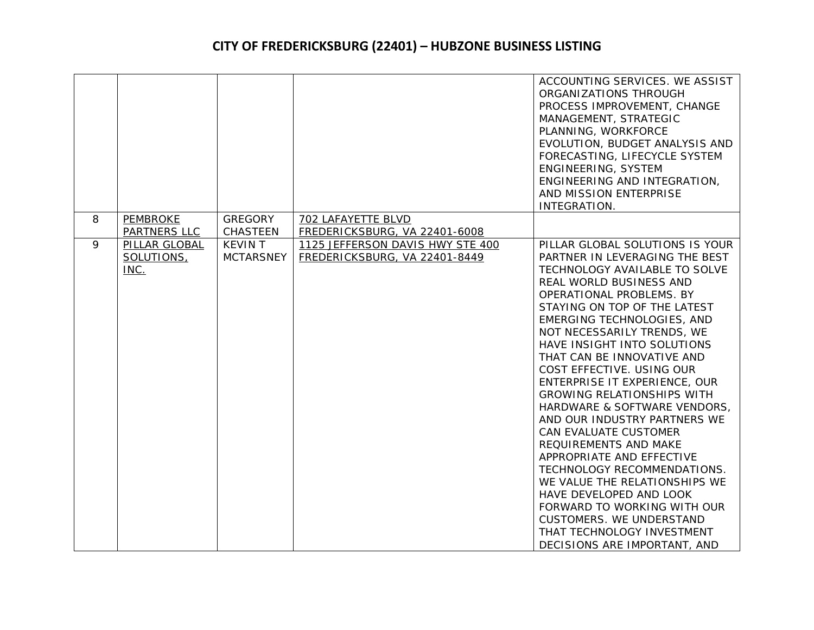|   |                                     |                                    |                                                                   | ACCOUNTING SERVICES. WE ASSIST<br>ORGANIZATIONS THROUGH<br>PROCESS IMPROVEMENT, CHANGE<br>MANAGEMENT, STRATEGIC<br>PLANNING, WORKFORCE<br>EVOLUTION, BUDGET ANALYSIS AND<br>FORECASTING, LIFECYCLE SYSTEM<br>ENGINEERING, SYSTEM<br>ENGINEERING AND INTEGRATION,                                                                                                                                                                                                                                                                                                                                                                                                                                                                                                                                |
|---|-------------------------------------|------------------------------------|-------------------------------------------------------------------|-------------------------------------------------------------------------------------------------------------------------------------------------------------------------------------------------------------------------------------------------------------------------------------------------------------------------------------------------------------------------------------------------------------------------------------------------------------------------------------------------------------------------------------------------------------------------------------------------------------------------------------------------------------------------------------------------------------------------------------------------------------------------------------------------|
|   |                                     |                                    |                                                                   | AND MISSION ENTERPRISE<br>INTEGRATION.                                                                                                                                                                                                                                                                                                                                                                                                                                                                                                                                                                                                                                                                                                                                                          |
| 8 | <b>PEMBROKE</b><br>PARTNERS LLC     | <b>GREGORY</b><br><b>CHASTEEN</b>  | 702 LAFAYETTE BLVD<br>FREDERICKSBURG, VA 22401-6008               |                                                                                                                                                                                                                                                                                                                                                                                                                                                                                                                                                                                                                                                                                                                                                                                                 |
| 9 | PILLAR GLOBAL<br>SOLUTIONS,<br>INC. | <b>KEVIN T</b><br><b>MCTARSNEY</b> | 1125 JEFFERSON DAVIS HWY STE 400<br>FREDERICKSBURG, VA 22401-8449 | PILLAR GLOBAL SOLUTIONS IS YOUR<br>PARTNER IN LEVERAGING THE BEST<br>TECHNOLOGY AVAILABLE TO SOLVE<br>REAL WORLD BUSINESS AND<br>OPERATIONAL PROBLEMS. BY<br>STAYING ON TOP OF THE LATEST<br>EMERGING TECHNOLOGIES, AND<br>NOT NECESSARILY TRENDS, WE<br>HAVE INSIGHT INTO SOLUTIONS<br>THAT CAN BE INNOVATIVE AND<br>COST EFFECTIVE. USING OUR<br>ENTERPRISE IT EXPERIENCE, OUR<br><b>GROWING RELATIONSHIPS WITH</b><br>HARDWARE & SOFTWARE VENDORS,<br>AND OUR INDUSTRY PARTNERS WE<br>CAN EVALUATE CUSTOMER<br>REQUIREMENTS AND MAKE<br>APPROPRIATE AND EFFECTIVE<br>TECHNOLOGY RECOMMENDATIONS.<br>WE VALUE THE RELATIONSHIPS WE<br>HAVE DEVELOPED AND LOOK<br>FORWARD TO WORKING WITH OUR<br><b>CUSTOMERS. WE UNDERSTAND</b><br>THAT TECHNOLOGY INVESTMENT<br>DECISIONS ARE IMPORTANT, AND |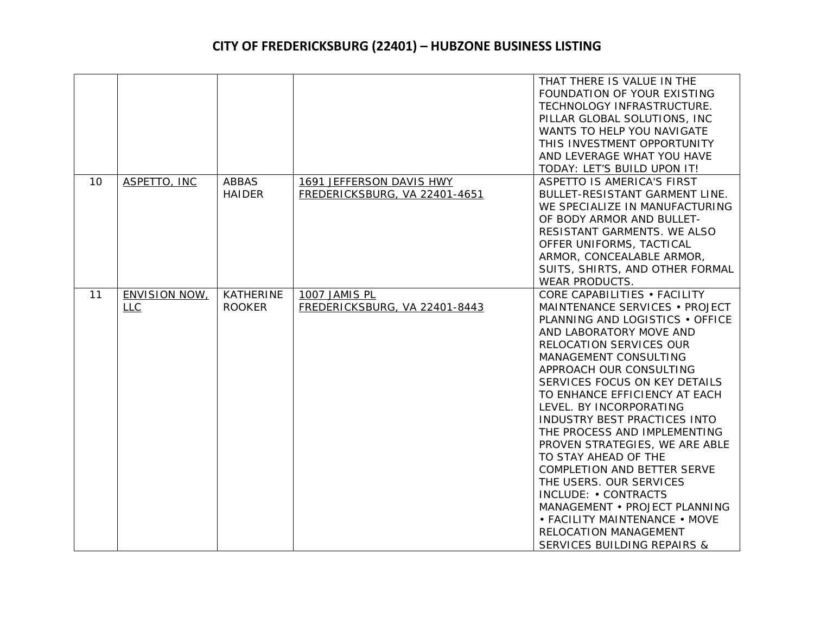|    |                                                    |                                   |                                                           | THAT THERE IS VALUE IN THE<br>FOUNDATION OF YOUR EXISTING<br>TECHNOLOGY INFRASTRUCTURE.<br>PILLAR GLOBAL SOLUTIONS, INC<br>WANTS TO HELP YOU NAVIGATE<br>THIS INVESTMENT OPPORTUNITY<br>AND LEVERAGE WHAT YOU HAVE<br>TODAY: LET'S BUILD UPON IT!                                                                                                                                                                                                                                                                                                                                                                                                         |
|----|----------------------------------------------------|-----------------------------------|-----------------------------------------------------------|-----------------------------------------------------------------------------------------------------------------------------------------------------------------------------------------------------------------------------------------------------------------------------------------------------------------------------------------------------------------------------------------------------------------------------------------------------------------------------------------------------------------------------------------------------------------------------------------------------------------------------------------------------------|
| 10 | ASPETTO, INC                                       | <b>ABBAS</b><br><b>HAIDER</b>     | 1691 JEFFERSON DAVIS HWY<br>FREDERICKSBURG, VA 22401-4651 | ASPETTO IS AMERICA'S FIRST<br>BULLET-RESISTANT GARMENT LINE.<br>WE SPECIALIZE IN MANUFACTURING<br>OF BODY ARMOR AND BULLET-<br>RESISTANT GARMENTS. WE ALSO<br>OFFER UNIFORMS, TACTICAL<br>ARMOR, CONCEALABLE ARMOR,<br>SUITS, SHIRTS, AND OTHER FORMAL<br><b>WEAR PRODUCTS.</b>                                                                                                                                                                                                                                                                                                                                                                           |
| 11 | <b>ENVISION NOW,</b><br>$L_{\mathsf{L}\mathsf{C}}$ | <b>KATHERINE</b><br><b>ROOKER</b> | 1007 JAMIS PL<br>FREDERICKSBURG, VA 22401-8443            | CORE CAPABILITIES . FACILITY<br>MAINTENANCE SERVICES . PROJECT<br>PLANNING AND LOGISTICS . OFFICE<br>AND LABORATORY MOVE AND<br>RELOCATION SERVICES OUR<br>MANAGEMENT CONSULTING<br>APPROACH OUR CONSULTING<br>SERVICES FOCUS ON KEY DETAILS<br>TO ENHANCE EFFICIENCY AT EACH<br>LEVEL. BY INCORPORATING<br>INDUSTRY BEST PRACTICES INTO<br>THE PROCESS AND IMPLEMENTING<br>PROVEN STRATEGIES, WE ARE ABLE<br>TO STAY AHEAD OF THE<br>COMPLETION AND BETTER SERVE<br>THE USERS. OUR SERVICES<br>INCLUDE: • CONTRACTS<br>MANAGEMENT . PROJECT PLANNING<br>• FACILITY MAINTENANCE • MOVE<br>RELOCATION MANAGEMENT<br><b>SERVICES BUILDING REPAIRS &amp;</b> |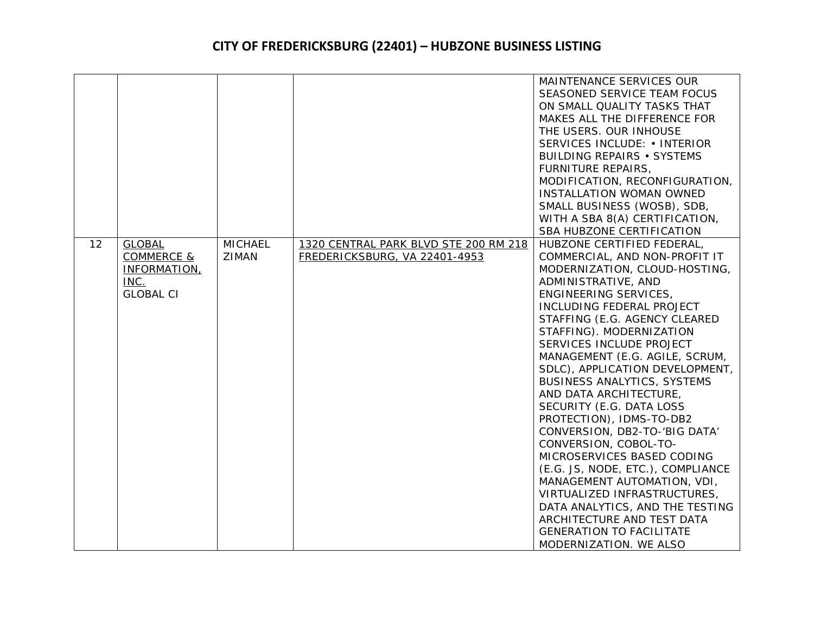|    |                                                                         |                         |                                                                        | MAINTENANCE SERVICES OUR<br>SEASONED SERVICE TEAM FOCUS<br>ON SMALL QUALITY TASKS THAT<br>MAKES ALL THE DIFFERENCE FOR<br>THE USERS. OUR INHOUSE<br>SERVICES INCLUDE: • INTERIOR<br><b>BUILDING REPAIRS • SYSTEMS</b><br><b>FURNITURE REPAIRS,</b><br>MODIFICATION, RECONFIGURATION,<br><b>INSTALLATION WOMAN OWNED</b><br>SMALL BUSINESS (WOSB), SDB,<br>WITH A SBA 8(A) CERTIFICATION,<br>SBA HUBZONE CERTIFICATION                                                                                                                                                                                                                                                                                                                                                                     |
|----|-------------------------------------------------------------------------|-------------------------|------------------------------------------------------------------------|-------------------------------------------------------------------------------------------------------------------------------------------------------------------------------------------------------------------------------------------------------------------------------------------------------------------------------------------------------------------------------------------------------------------------------------------------------------------------------------------------------------------------------------------------------------------------------------------------------------------------------------------------------------------------------------------------------------------------------------------------------------------------------------------|
| 12 | <b>GLOBAL</b><br>COMMERCE &<br>INFORMATION,<br>INC.<br><b>GLOBAL CI</b> | <b>MICHAEL</b><br>ZIMAN | 1320 CENTRAL PARK BLVD STE 200 RM 218<br>FREDERICKSBURG, VA 22401-4953 | HUBZONE CERTIFIED FEDERAL,<br>COMMERCIAL, AND NON-PROFIT IT<br>MODERNIZATION, CLOUD-HOSTING,<br>ADMINISTRATIVE, AND<br>ENGINEERING SERVICES,<br>INCLUDING FEDERAL PROJECT<br>STAFFING (E.G. AGENCY CLEARED<br>STAFFING). MODERNIZATION<br>SERVICES INCLUDE PROJECT<br>MANAGEMENT (E.G. AGILE, SCRUM,<br>SDLC), APPLICATION DEVELOPMENT,<br><b>BUSINESS ANALYTICS, SYSTEMS</b><br>AND DATA ARCHITECTURE,<br>SECURITY (E.G. DATA LOSS<br>PROTECTION), IDMS-TO-DB2<br>CONVERSION, DB2-TO-'BIG DATA'<br>CONVERSION, COBOL-TO-<br>MICROSERVICES BASED CODING<br>(E.G. JS, NODE, ETC.), COMPLIANCE<br>MANAGEMENT AUTOMATION, VDI,<br>VIRTUALIZED INFRASTRUCTURES,<br>DATA ANALYTICS, AND THE TESTING<br>ARCHITECTURE AND TEST DATA<br><b>GENERATION TO FACILITATE</b><br>MODERNIZATION. WE ALSO |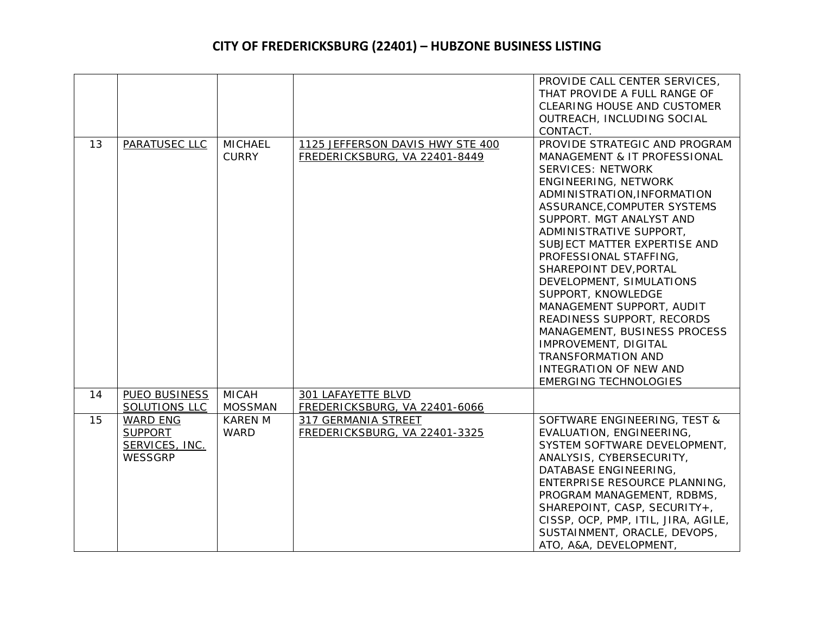|    |                 |                |                                  | PROVIDE CALL CENTER SERVICES,       |
|----|-----------------|----------------|----------------------------------|-------------------------------------|
|    |                 |                |                                  | THAT PROVIDE A FULL RANGE OF        |
|    |                 |                |                                  | <b>CLEARING HOUSE AND CUSTOMER</b>  |
|    |                 |                |                                  |                                     |
|    |                 |                |                                  | OUTREACH, INCLUDING SOCIAL          |
|    |                 |                |                                  | CONTACT.                            |
| 13 | PARATUSEC LLC   | <b>MICHAEL</b> | 1125 JEFFERSON DAVIS HWY STE 400 | PROVIDE STRATEGIC AND PROGRAM       |
|    |                 | <b>CURRY</b>   | FREDERICKSBURG, VA 22401-8449    | MANAGEMENT & IT PROFESSIONAL        |
|    |                 |                |                                  | <b>SERVICES: NETWORK</b>            |
|    |                 |                |                                  | ENGINEERING, NETWORK                |
|    |                 |                |                                  | ADMINISTRATION, INFORMATION         |
|    |                 |                |                                  | ASSURANCE, COMPUTER SYSTEMS         |
|    |                 |                |                                  | SUPPORT. MGT ANALYST AND            |
|    |                 |                |                                  | ADMINISTRATIVE SUPPORT,             |
|    |                 |                |                                  | SUBJECT MATTER EXPERTISE AND        |
|    |                 |                |                                  | PROFESSIONAL STAFFING,              |
|    |                 |                |                                  | SHAREPOINT DEV, PORTAL              |
|    |                 |                |                                  | DEVELOPMENT, SIMULATIONS            |
|    |                 |                |                                  | SUPPORT, KNOWLEDGE                  |
|    |                 |                |                                  | MANAGEMENT SUPPORT, AUDIT           |
|    |                 |                |                                  | READINESS SUPPORT, RECORDS          |
|    |                 |                |                                  | MANAGEMENT, BUSINESS PROCESS        |
|    |                 |                |                                  | IMPROVEMENT, DIGITAL                |
|    |                 |                |                                  | <b>TRANSFORMATION AND</b>           |
|    |                 |                |                                  | <b>INTEGRATION OF NEW AND</b>       |
|    |                 |                |                                  | <b>EMERGING TECHNOLOGIES</b>        |
| 14 | PUEO BUSINESS   | <b>MICAH</b>   | 301 LAFAYETTE BLVD               |                                     |
|    | SOLUTIONS LLC   | <b>MOSSMAN</b> | FREDERICKSBURG, VA 22401-6066    |                                     |
| 15 | <b>WARD ENG</b> | <b>KAREN M</b> | 317 GERMANIA STREET              | SOFTWARE ENGINEERING, TEST &        |
|    | <b>SUPPORT</b>  | <b>WARD</b>    | FREDERICKSBURG, VA 22401-3325    | EVALUATION, ENGINEERING,            |
|    | SERVICES, INC.  |                |                                  | SYSTEM SOFTWARE DEVELOPMENT,        |
|    | <b>WESSGRP</b>  |                |                                  | ANALYSIS, CYBERSECURITY,            |
|    |                 |                |                                  | DATABASE ENGINEERING,               |
|    |                 |                |                                  | ENTERPRISE RESOURCE PLANNING,       |
|    |                 |                |                                  | PROGRAM MANAGEMENT, RDBMS,          |
|    |                 |                |                                  | SHAREPOINT, CASP, SECURITY+,        |
|    |                 |                |                                  | CISSP, OCP, PMP, ITIL, JIRA, AGILE, |
|    |                 |                |                                  | SUSTAINMENT, ORACLE, DEVOPS,        |
|    |                 |                |                                  | ATO, A&A, DEVELOPMENT,              |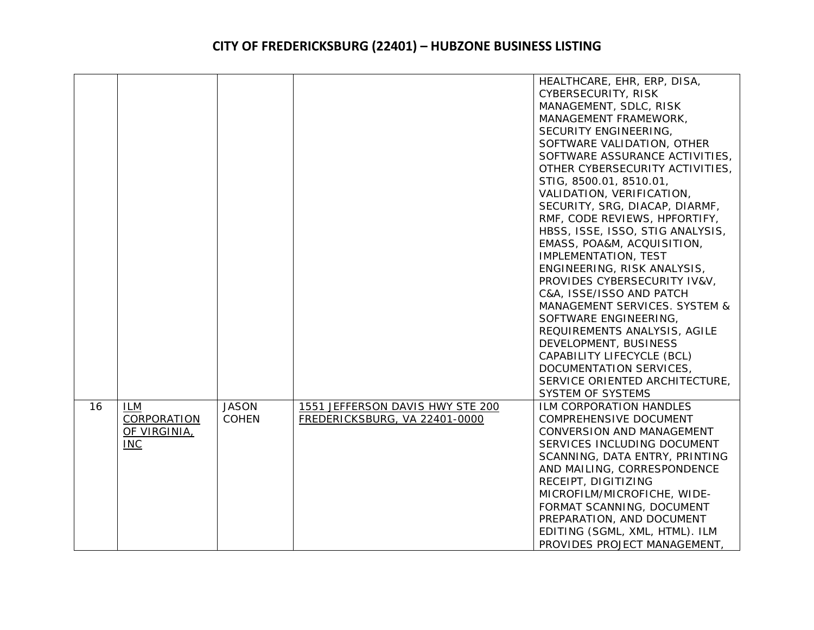|    |              |              |                                  | HEALTHCARE, EHR, ERP, DISA,      |
|----|--------------|--------------|----------------------------------|----------------------------------|
|    |              |              |                                  | CYBERSECURITY, RISK              |
|    |              |              |                                  | MANAGEMENT, SDLC, RISK           |
|    |              |              |                                  | MANAGEMENT FRAMEWORK,            |
|    |              |              |                                  | SECURITY ENGINEERING,            |
|    |              |              |                                  | SOFTWARE VALIDATION, OTHER       |
|    |              |              |                                  | SOFTWARE ASSURANCE ACTIVITIES,   |
|    |              |              |                                  | OTHER CYBERSECURITY ACTIVITIES,  |
|    |              |              |                                  | STIG, 8500.01, 8510.01,          |
|    |              |              |                                  | VALIDATION, VERIFICATION,        |
|    |              |              |                                  | SECURITY, SRG, DIACAP, DIARMF,   |
|    |              |              |                                  | RMF, CODE REVIEWS, HPFORTIFY,    |
|    |              |              |                                  | HBSS, ISSE, ISSO, STIG ANALYSIS, |
|    |              |              |                                  | EMASS, POA&M, ACQUISITION,       |
|    |              |              |                                  | IMPLEMENTATION, TEST             |
|    |              |              |                                  | ENGINEERING, RISK ANALYSIS,      |
|    |              |              |                                  | PROVIDES CYBERSECURITY IV&V,     |
|    |              |              |                                  | C&A, ISSE/ISSO AND PATCH         |
|    |              |              |                                  | MANAGEMENT SERVICES. SYSTEM &    |
|    |              |              |                                  | SOFTWARE ENGINEERING,            |
|    |              |              |                                  | REQUIREMENTS ANALYSIS, AGILE     |
|    |              |              |                                  | DEVELOPMENT, BUSINESS            |
|    |              |              |                                  | CAPABILITY LIFECYCLE (BCL)       |
|    |              |              |                                  | DOCUMENTATION SERVICES,          |
|    |              |              |                                  | SERVICE ORIENTED ARCHITECTURE,   |
|    |              |              |                                  | <b>SYSTEM OF SYSTEMS</b>         |
| 16 | <b>ILM</b>   | <b>JASON</b> | 1551 JEFFERSON DAVIS HWY STE 200 | ILM CORPORATION HANDLES          |
|    | CORPORATION  | <b>COHEN</b> | FREDERICKSBURG, VA 22401-0000    | COMPREHENSIVE DOCUMENT           |
|    | OF VIRGINIA, |              |                                  | <b>CONVERSION AND MANAGEMENT</b> |
|    | <b>INC</b>   |              |                                  | SERVICES INCLUDING DOCUMENT      |
|    |              |              |                                  | SCANNING, DATA ENTRY, PRINTING   |
|    |              |              |                                  | AND MAILING, CORRESPONDENCE      |
|    |              |              |                                  | RECEIPT, DIGITIZING              |
|    |              |              |                                  | MICROFILM/MICROFICHE, WIDE-      |
|    |              |              |                                  | FORMAT SCANNING, DOCUMENT        |
|    |              |              |                                  | PREPARATION, AND DOCUMENT        |
|    |              |              |                                  | EDITING (SGML, XML, HTML). ILM   |
|    |              |              |                                  | PROVIDES PROJECT MANAGEMENT,     |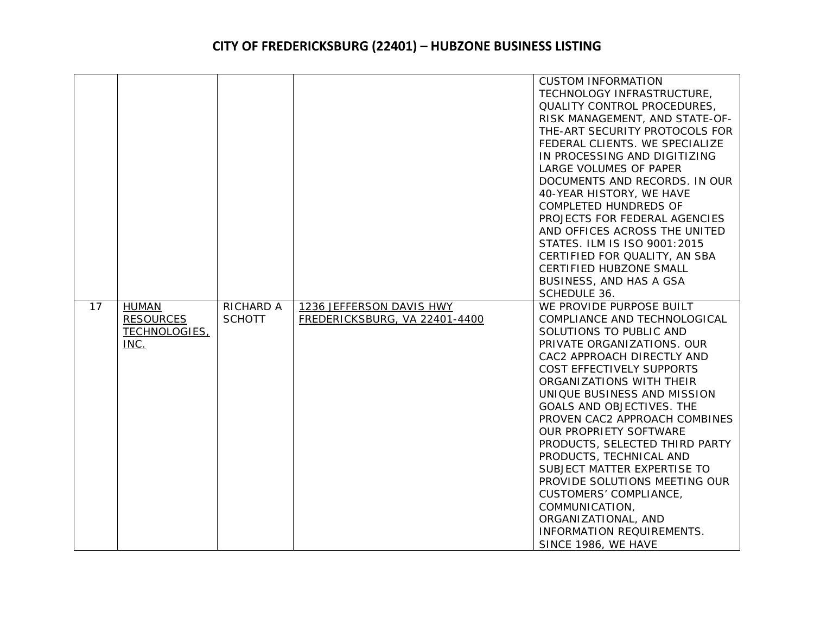|    |                                                           |                                   |                                                           | <b>CUSTOM INFORMATION</b><br>TECHNOLOGY INFRASTRUCTURE,<br>QUALITY CONTROL PROCEDURES,<br>RISK MANAGEMENT, AND STATE-OF-<br>THE-ART SECURITY PROTOCOLS FOR<br>FEDERAL CLIENTS. WE SPECIALIZE<br>IN PROCESSING AND DIGITIZING<br>LARGE VOLUMES OF PAPER<br>DOCUMENTS AND RECORDS. IN OUR<br>40-YEAR HISTORY, WE HAVE<br>COMPLETED HUNDREDS OF<br>PROJECTS FOR FEDERAL AGENCIES<br>AND OFFICES ACROSS THE UNITED<br>STATES. ILM IS ISO 9001:2015               |
|----|-----------------------------------------------------------|-----------------------------------|-----------------------------------------------------------|--------------------------------------------------------------------------------------------------------------------------------------------------------------------------------------------------------------------------------------------------------------------------------------------------------------------------------------------------------------------------------------------------------------------------------------------------------------|
|    |                                                           |                                   |                                                           | CERTIFIED FOR QUALITY, AN SBA<br>CERTIFIED HUBZONE SMALL                                                                                                                                                                                                                                                                                                                                                                                                     |
|    |                                                           |                                   |                                                           | BUSINESS, AND HAS A GSA                                                                                                                                                                                                                                                                                                                                                                                                                                      |
|    |                                                           |                                   |                                                           | SCHEDULE 36.                                                                                                                                                                                                                                                                                                                                                                                                                                                 |
| 17 | <b>HUMAN</b><br><b>RESOURCES</b><br>TECHNOLOGIES,<br>INC. | <b>RICHARD A</b><br><b>SCHOTT</b> | 1236 JEFFERSON DAVIS HWY<br>FREDERICKSBURG, VA 22401-4400 | WE PROVIDE PURPOSE BUILT<br>COMPLIANCE AND TECHNOLOGICAL<br>SOLUTIONS TO PUBLIC AND<br>PRIVATE ORGANIZATIONS. OUR<br>CAC2 APPROACH DIRECTLY AND<br>COST EFFECTIVELY SUPPORTS<br>ORGANIZATIONS WITH THEIR<br>UNIQUE BUSINESS AND MISSION<br>GOALS AND OBJECTIVES. THE<br>PROVEN CAC2 APPROACH COMBINES<br>OUR PROPRIETY SOFTWARE<br>PRODUCTS, SELECTED THIRD PARTY<br>PRODUCTS, TECHNICAL AND<br>SUBJECT MATTER EXPERTISE TO<br>PROVIDE SOLUTIONS MEETING OUR |
|    |                                                           |                                   |                                                           | <b>CUSTOMERS' COMPLIANCE,</b><br>COMMUNICATION,<br>ORGANIZATIONAL, AND<br>INFORMATION REQUIREMENTS.<br>SINCE 1986, WE HAVE                                                                                                                                                                                                                                                                                                                                   |